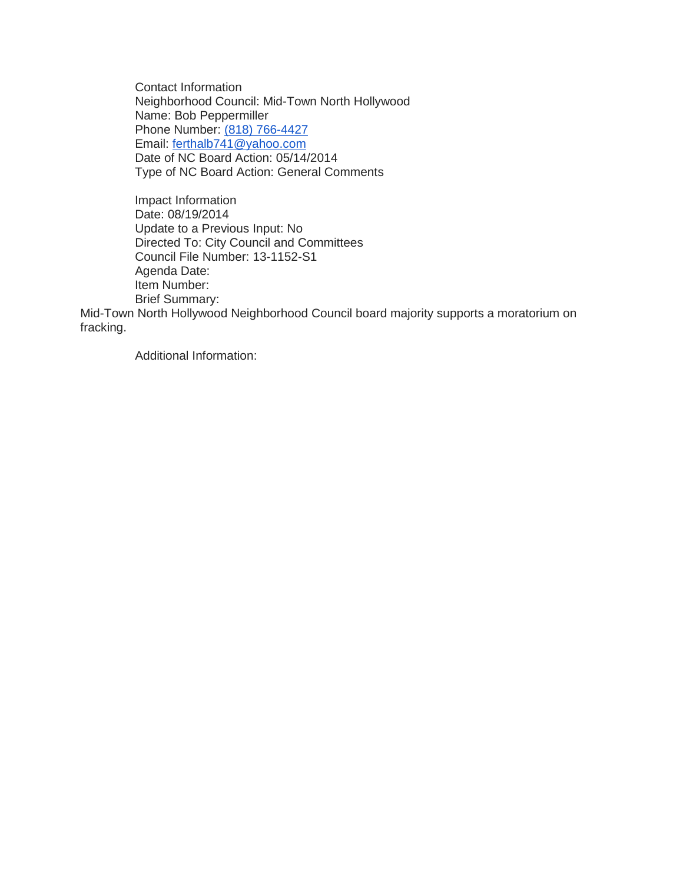Contact Information Neighborhood Council: Mid-Town North Hollywood Name: Bob Peppermiller Phone Number: [\(818\) 766-4427](tel:%28818%29%20766-4427) Email: [ferthalb741@yahoo.com](mailto:ferthalb741@yahoo.com) Date of NC Board Action: 05/14/2014 Type of NC Board Action: General Comments

Impact Information Date: 08/19/2014 Update to a Previous Input: No Directed To: City Council and Committees Council File Number: 13-1152-S1 Agenda Date: Item Number: Brief Summary:

Mid-Town North Hollywood Neighborhood Council board majority supports a moratorium on fracking.

Additional Information: